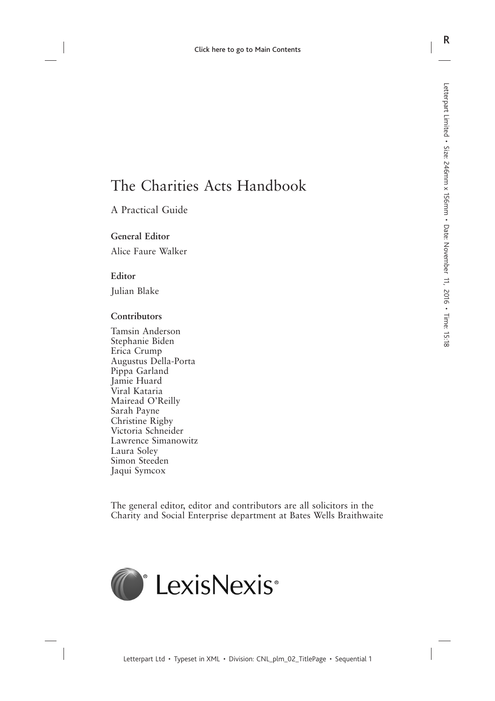# The Charities Acts Handbook

### A Practical Guide

#### **General Editor**

Alice Faure Walker

#### **Editor**

Julian Blake

#### **Contributors**

Tamsin Anderson Stephanie Biden Erica Crump Augustus Della-Porta Pippa Garland Jamie Huard Viral Kataria Mairead O'Reilly Sarah Payne Christine Rigby Victoria Schneider Lawrence Simanowitz Laura Soley Simon Steeden Jaqui Symcox

The general editor, editor and contributors are all solicitors in the Charity and Social Enterprise department at Bates Wells Braithwaite

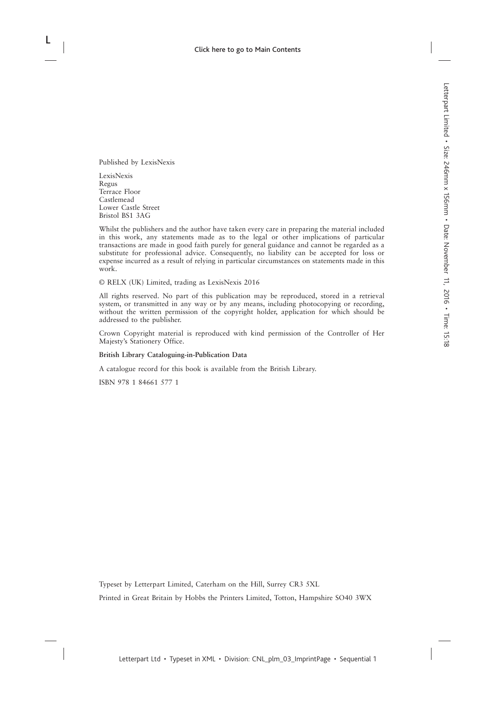Published by LexisNexis

LexisNexis Regus Terrace Floor Castlemead Lower Castle Street Bristol BS1 3AG

Whilst the publishers and the author have taken every care in preparing the material included in this work, any statements made as to the legal or other implications of particular transactions are made in good faith purely for general guidance and cannot be regarded as a substitute for professional advice. Consequently, no liability can be accepted for loss or expense incurred as a result of relying in particular circumstances on statements made in this work.

© RELX (UK) Limited, trading as LexisNexis 2016

All rights reserved. No part of this publication may be reproduced, stored in a retrieval system, or transmitted in any way or by any means, including photocopying or recording, without the written permission of the copyright holder, application for which should be addressed to the publisher.

Crown Copyright material is reproduced with kind permission of the Controller of Her Majesty's Stationery Office.

#### **British Library Cataloguing-in-Publication Data**

A catalogue record for this book is available from the British Library.

ISBN 978 1 84661 577 1

Typeset by Letterpart Limited, Caterham on the Hill, Surrey CR3 5XL

Printed in Great Britain by Hobbs the Printers Limited, Totton, Hampshire SO40 3WX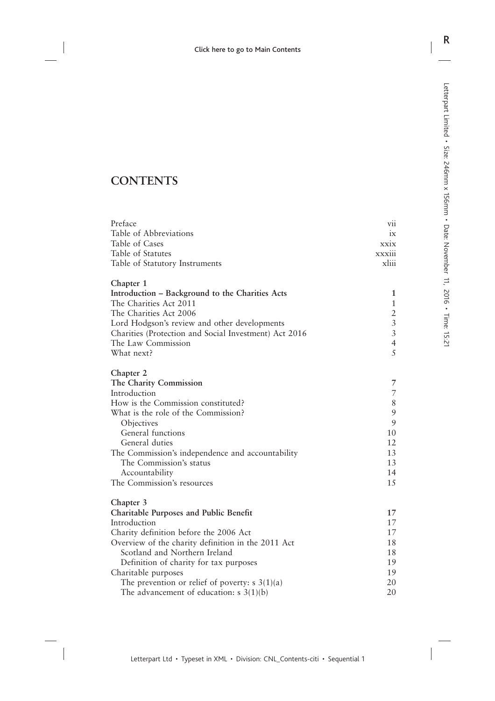## **CONTENTS**

| Preface                                                                                                     | V11            |
|-------------------------------------------------------------------------------------------------------------|----------------|
| Table of Abbreviations                                                                                      | ix             |
| Table of Cases                                                                                              | xxix           |
| Table of Statutes                                                                                           | xxxiii         |
| Table of Statutory Instruments                                                                              | xliii          |
| Chapter 1                                                                                                   |                |
| Introduction – Background to the Charities Acts                                                             | 1              |
| The Charities Act 2011                                                                                      | $\mathbf{1}$   |
| The Charities Act 2006                                                                                      | $\frac{2}{3}$  |
| Lord Hodgson's review and other developments                                                                |                |
| Charities (Protection and Social Investment) Act 2016                                                       | $\overline{3}$ |
| The Law Commission                                                                                          | $\overline{4}$ |
| What next?                                                                                                  | 5              |
| Chapter 2                                                                                                   |                |
| The Charity Commission                                                                                      | 7              |
| Introduction                                                                                                | $\overline{7}$ |
| How is the Commission constituted?                                                                          | $\,$ $\,$      |
| What is the role of the Commission?                                                                         | $\mathfrak{g}$ |
| Objectives                                                                                                  | 9              |
| General functions                                                                                           | 10             |
| General duties                                                                                              | 12             |
| The Commission's independence and accountability                                                            | 13             |
| The Commission's status                                                                                     | 13             |
| Accountability                                                                                              | 14             |
| The Commission's resources                                                                                  | 15             |
| Chapter 3                                                                                                   |                |
| <b>Charitable Purposes and Public Benefit</b>                                                               | 17             |
| Introduction                                                                                                | 17             |
| Charity definition before the 2006 Act                                                                      | 17             |
| Overview of the charity definition in the 2011 Act                                                          | 18             |
| Scotland and Northern Ireland                                                                               | 18             |
| Definition of charity for tax purposes                                                                      | 19<br>19       |
| Charitable purposes                                                                                         | 20             |
| The prevention or relief of poverty: $s \frac{3(1)}{a}$<br>The advancement of education: $s \frac{3(1)}{b}$ | 20             |
|                                                                                                             |                |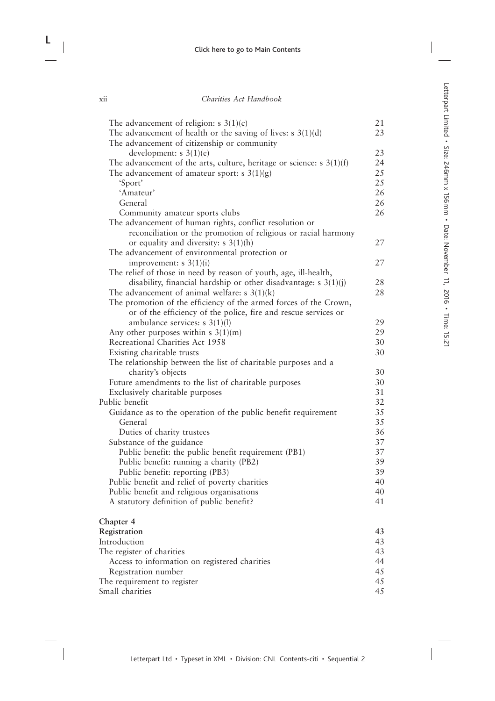| The advancement of religion: $s \ 3(1)(c)$                               | 21 |
|--------------------------------------------------------------------------|----|
| The advancement of health or the saving of lives: $s \, 3(1)(d)$         | 23 |
| The advancement of citizenship or community                              |    |
| development: s 3(1)(e)                                                   | 23 |
| The advancement of the arts, culture, heritage or science: $s \ 3(1)(f)$ | 24 |
| The advancement of amateur sport: s $3(1)(g)$                            | 25 |
| 'Sport'                                                                  | 25 |
| 'Amateur'                                                                | 26 |
| General                                                                  | 26 |
| Community amateur sports clubs                                           | 26 |
| The advancement of human rights, conflict resolution or                  |    |
| reconciliation or the promotion of religious or racial harmony           |    |
| or equality and diversity: $s \ 3(1)(h)$                                 | 27 |
| The advancement of environmental protection or                           |    |
| improvement: $s \frac{3(1)}{i}$                                          | 27 |
| The relief of those in need by reason of youth, age, ill-health,         |    |
| disability, financial hardship or other disadvantage: $s \frac{3(1)}{j}$ | 28 |
| The advancement of animal welfare: $s \frac{3(1)}{k}$                    | 28 |
| The promotion of the efficiency of the armed forces of the Crown,        |    |
| or of the efficiency of the police, fire and rescue services or          |    |
| ambulance services: $s \frac{3(1)(1)}{2}$                                | 29 |
| Any other purposes within $s \ 3(1)(m)$                                  | 29 |
| Recreational Charities Act 1958                                          | 30 |
| Existing charitable trusts                                               | 30 |
| The relationship between the list of charitable purposes and a           |    |
| charity's objects                                                        | 30 |
| Future amendments to the list of charitable purposes                     | 30 |
| Exclusively charitable purposes                                          | 31 |
| Public benefit                                                           | 32 |
| Guidance as to the operation of the public benefit requirement           | 35 |
| General                                                                  | 35 |
| Duties of charity trustees                                               | 36 |
| Substance of the guidance                                                | 37 |
| Public benefit: the public benefit requirement (PB1)                     | 37 |
| Public benefit: running a charity (PB2)                                  | 39 |
| Public benefit: reporting (PB3)                                          | 39 |
| Public benefit and relief of poverty charities                           | 40 |
| Public benefit and religious organisations                               | 40 |
| A statutory definition of public benefit?                                | 41 |
| Chapter 4                                                                |    |
| Registration                                                             | 43 |
| Introduction                                                             | 43 |

| mundu                                         | $\overline{\phantom{0}}$ |
|-----------------------------------------------|--------------------------|
| The register of charities                     | 43                       |
| Access to information on registered charities | 44                       |
| Registration number                           | 45                       |
| The requirement to register                   | 45                       |
| Small charities                               | 45                       |
|                                               |                          |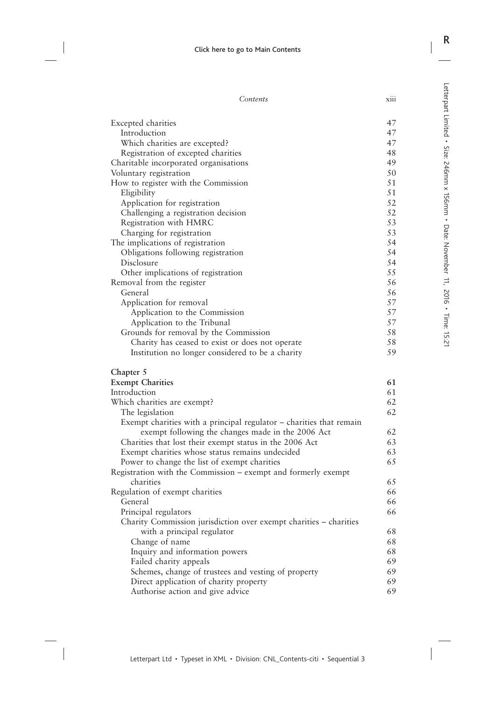| Excepted charities                                                  | 47 |
|---------------------------------------------------------------------|----|
| Introduction                                                        | 47 |
| Which charities are excepted?                                       | 47 |
| Registration of excepted charities                                  | 48 |
| Charitable incorporated organisations                               | 49 |
| Voluntary registration                                              | 50 |
| How to register with the Commission                                 | 51 |
| Eligibility                                                         | 51 |
| Application for registration                                        | 52 |
| Challenging a registration decision                                 | 52 |
| Registration with HMRC                                              | 53 |
| Charging for registration                                           | 53 |
| The implications of registration                                    | 54 |
| Obligations following registration                                  | 54 |
| Disclosure                                                          | 54 |
| Other implications of registration                                  | 55 |
| Removal from the register                                           | 56 |
| General                                                             | 56 |
| Application for removal                                             | 57 |
| Application to the Commission                                       | 57 |
| Application to the Tribunal                                         | 57 |
| Grounds for removal by the Commission                               | 58 |
| Charity has ceased to exist or does not operate                     | 58 |
| Institution no longer considered to be a charity                    | 59 |
|                                                                     |    |
| Chapter 5<br><b>Exempt Charities</b>                                | 61 |
| Introduction                                                        | 61 |
| Which charities are exempt?                                         | 62 |
| The legislation                                                     | 62 |
| Exempt charities with a principal regulator – charities that remain |    |
| exempt following the changes made in the 2006 Act                   | 62 |
| Charities that lost their exempt status in the 2006 Act             | 63 |
| Exempt charities whose status remains undecided                     | 63 |
| Power to change the list of exempt charities                        | 65 |
| Registration with the Commission – exempt and formerly exempt       |    |
| charities                                                           | 65 |
| Regulation of exempt charities                                      | 66 |
| General                                                             | 66 |
| Principal regulators                                                | 66 |
| Charity Commission jurisdiction over exempt charities - charities   |    |
| with a principal regulator                                          | 68 |
| Change of name                                                      | 68 |
| Inquiry and information powers                                      | 68 |
| Failed charity appeals                                              | 69 |
| Schemes, change of trustees and vesting of property                 | 69 |
| Direct application of charity property                              | 69 |
| Authorise action and give advice                                    | 69 |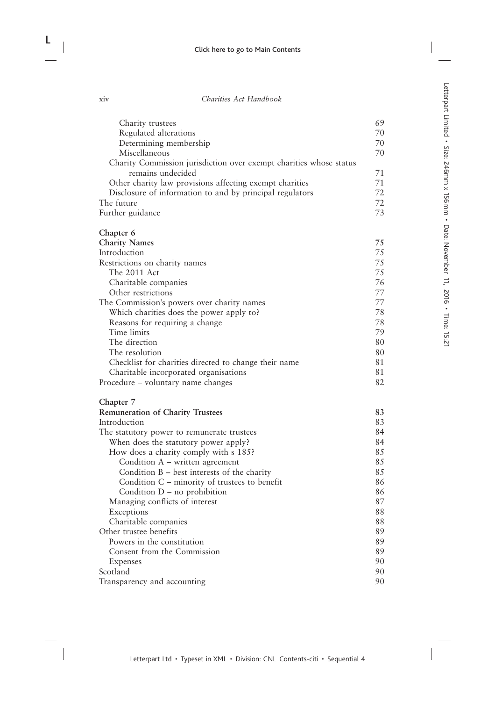| Charity trustees                                                   | 69       |
|--------------------------------------------------------------------|----------|
| Regulated alterations                                              | 70       |
| Determining membership                                             | 70       |
| Miscellaneous                                                      | 70       |
| Charity Commission jurisdiction over exempt charities whose status |          |
| remains undecided                                                  | 71       |
| Other charity law provisions affecting exempt charities            | 71       |
| Disclosure of information to and by principal regulators           | 72       |
| The future                                                         | 72       |
| Further guidance                                                   | 73       |
| Chapter 6                                                          |          |
| <b>Charity Names</b>                                               | 75       |
| Introduction                                                       | 75       |
| Restrictions on charity names                                      | 75       |
| The 2011 Act                                                       | 75       |
| Charitable companies                                               | 76       |
| Other restrictions                                                 | 77       |
| The Commission's powers over charity names                         | 77       |
| Which charities does the power apply to?                           | 78       |
| Reasons for requiring a change                                     | 78       |
| Time limits                                                        | 79       |
| The direction                                                      | 80       |
| The resolution                                                     | 80       |
| Checklist for charities directed to change their name              | 81       |
| Charitable incorporated organisations                              | 81       |
| Procedure – voluntary name changes                                 | 82       |
| Chapter 7                                                          |          |
| <b>Remuneration of Charity Trustees</b>                            | 83       |
| Introduction                                                       | 83       |
| The statutory power to remunerate trustees                         | 84       |
| When does the statutory power apply?                               | 84       |
| How does a charity comply with s 185?                              | 85       |
| Condition A – written agreement                                    | 85       |
| Condition $B$ – best interests of the charity                      | 85       |
| Condition C – minority of trustees to benefit                      | 86       |
| Condition $D$ – no prohibition                                     | 86       |
| Managing conflicts of interest                                     | 87       |
| Exceptions                                                         | 88       |
| Charitable companies<br>Other trustee benefits                     | 88<br>89 |
| Powers in the constitution                                         | 89       |
| Consent from the Commission                                        | 89       |
|                                                                    | 90       |
| <b>Expenses</b><br>Scotland                                        | 90       |
|                                                                    | 90       |
| Transparency and accounting                                        |          |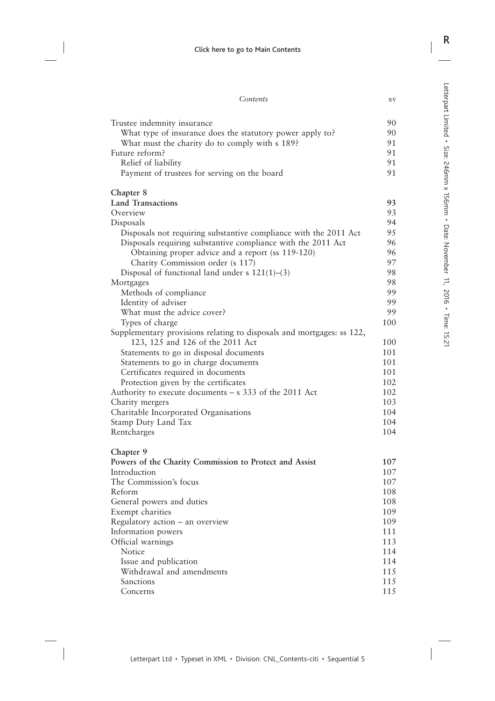| Trustee indemnity insurance                                           | 90  |
|-----------------------------------------------------------------------|-----|
| What type of insurance does the statutory power apply to?             | 90  |
| What must the charity do to comply with s 189?                        | 91  |
| Future reform?                                                        | 91  |
| Relief of liability                                                   | 91  |
| Payment of trustees for serving on the board                          | 91  |
| Chapter 8                                                             |     |
| <b>Land Transactions</b>                                              | 93  |
| Overview                                                              | 93  |
| Disposals                                                             | 94  |
| Disposals not requiring substantive compliance with the 2011 Act      | 95  |
| Disposals requiring substantive compliance with the 2011 Act          | 96  |
| Obtaining proper advice and a report (ss 119-120)                     | 96  |
| Charity Commission order (s 117)                                      | 97  |
| Disposal of functional land under s $121(1)$ –(3)                     | 98  |
| Mortgages                                                             | 98  |
| Methods of compliance                                                 | 99  |
| Identity of adviser                                                   | 99  |
| What must the advice cover?                                           | 99  |
| Types of charge                                                       | 100 |
| Supplementary provisions relating to disposals and mortgages: ss 122, |     |
| 123, 125 and 126 of the 2011 Act                                      | 100 |
| Statements to go in disposal documents                                | 101 |
| Statements to go in charge documents                                  | 101 |
| Certificates required in documents                                    | 101 |
| Protection given by the certificates                                  | 102 |
| Authority to execute documents – s 333 of the 2011 Act                | 102 |
| Charity mergers                                                       | 103 |
| Charitable Incorporated Organisations                                 | 104 |
| Stamp Duty Land Tax                                                   | 104 |
| Rentcharges                                                           | 104 |
| Chapter 9                                                             |     |
| Powers of the Charity Commission to Protect and Assist                | 107 |
| Introduction                                                          | 107 |
| The Commission's focus                                                | 107 |
| Reform                                                                | 108 |
| General powers and duties                                             | 108 |
| Exempt charities                                                      | 109 |
| Regulatory action - an overview                                       | 109 |
| Information powers                                                    | 111 |
| Official warnings                                                     | 113 |
| Notice                                                                | 114 |

- Notice 114
	- Issue and publication 114<br>Withdrawal and amendments 115 Withdrawal and amendments 115<br>Sanctions 115 Sanctions 115<br>Concerns 115
	- Concerns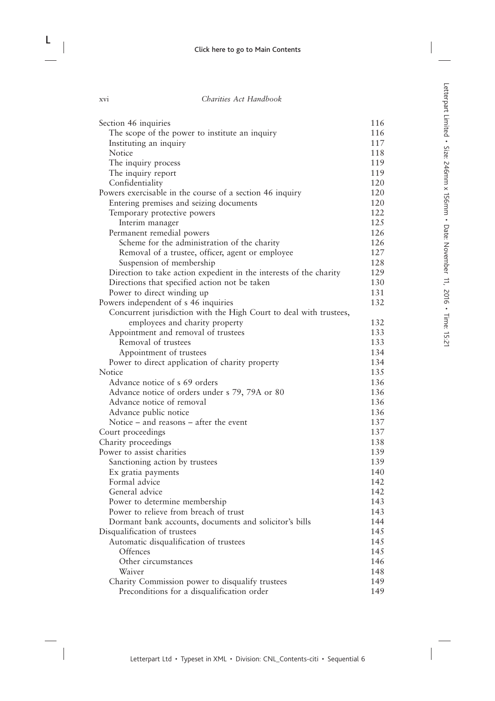| Section 46 inquiries                                               | 116 |
|--------------------------------------------------------------------|-----|
| The scope of the power to institute an inquiry                     | 116 |
| Instituting an inquiry                                             | 117 |
| Notice                                                             | 118 |
| The inquiry process                                                | 119 |
| The inquiry report                                                 | 119 |
| Confidentiality                                                    | 120 |
| Powers exercisable in the course of a section 46 inquiry           | 120 |
| Entering premises and seizing documents                            | 120 |
| Temporary protective powers                                        | 122 |
| Interim manager                                                    | 125 |
| Permanent remedial powers                                          | 126 |
| Scheme for the administration of the charity                       | 126 |
| Removal of a trustee, officer, agent or employee                   | 127 |
| Suspension of membership                                           | 128 |
| Direction to take action expedient in the interests of the charity | 129 |
| Directions that specified action not be taken                      | 130 |
| Power to direct winding up                                         | 131 |
| Powers independent of s 46 inquiries                               | 132 |
| Concurrent jurisdiction with the High Court to deal with trustees, |     |
| employees and charity property                                     | 132 |
| Appointment and removal of trustees                                | 133 |
| Removal of trustees                                                | 133 |
| Appointment of trustees                                            | 134 |
| Power to direct application of charity property                    | 134 |
| Notice                                                             | 135 |
| Advance notice of s 69 orders                                      | 136 |
| Advance notice of orders under s 79, 79A or 80                     | 136 |
| Advance notice of removal                                          | 136 |
| Advance public notice                                              | 136 |
| Notice $-$ and reasons $-$ after the event                         | 137 |
| Court proceedings                                                  | 137 |
| Charity proceedings                                                | 138 |
| Power to assist charities                                          | 139 |
| Sanctioning action by trustees                                     | 139 |
| Ex gratia payments                                                 | 140 |
| Formal advice                                                      | 142 |
| General advice                                                     | 142 |
| Power to determine membership                                      | 143 |
| Power to relieve from breach of trust                              | 143 |
| Dormant bank accounts, documents and solicitor's bills             | 144 |
| Disqualification of trustees                                       | 145 |
| Automatic disqualification of trustees                             | 145 |
| Offences                                                           | 145 |
| Other circumstances                                                | 146 |
| Waiver                                                             | 148 |
| Charity Commission power to disqualify trustees                    | 149 |
| Preconditions for a disqualification order                         | 149 |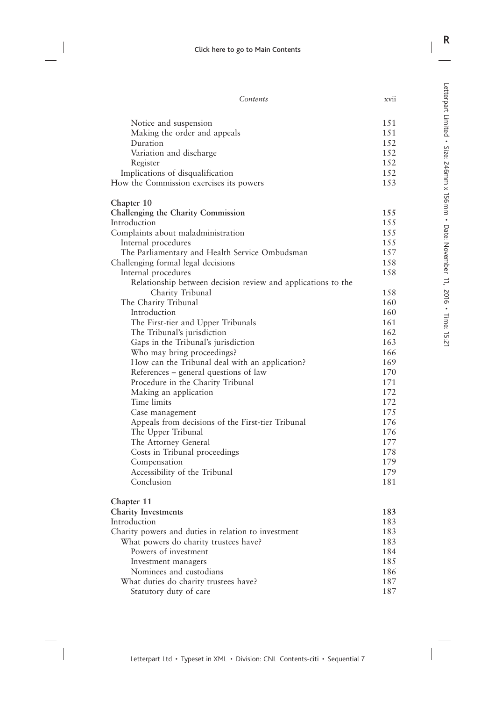| Notice and suspension                                        | 151 |
|--------------------------------------------------------------|-----|
| Making the order and appeals                                 | 151 |
| Duration                                                     | 152 |
| Variation and discharge                                      | 152 |
| Register                                                     | 152 |
| Implications of disqualification                             | 152 |
|                                                              | 153 |
| How the Commission exercises its powers                      |     |
| Chapter 10                                                   |     |
| Challenging the Charity Commission                           | 155 |
| Introduction                                                 | 155 |
| Complaints about maladministration                           | 155 |
| Internal procedures                                          | 155 |
| The Parliamentary and Health Service Ombudsman               | 157 |
| Challenging formal legal decisions                           | 158 |
| Internal procedures                                          | 158 |
| Relationship between decision review and applications to the |     |
| Charity Tribunal                                             | 158 |
| The Charity Tribunal                                         | 160 |
| Introduction                                                 | 160 |
| The First-tier and Upper Tribunals                           | 161 |
| The Tribunal's jurisdiction                                  | 162 |
| Gaps in the Tribunal's jurisdiction                          | 163 |
| Who may bring proceedings?                                   | 166 |
| How can the Tribunal deal with an application?               | 169 |
| References – general questions of law                        | 170 |
| Procedure in the Charity Tribunal                            | 171 |
| Making an application                                        | 172 |
| Time limits                                                  | 172 |
| Case management                                              | 175 |
| Appeals from decisions of the First-tier Tribunal            | 176 |
| The Upper Tribunal                                           | 176 |
| The Attorney General                                         | 177 |
| Costs in Tribunal proceedings                                | 178 |
| Compensation                                                 | 179 |
| Accessibility of the Tribunal                                | 179 |
| Conclusion                                                   | 181 |
| Chapter 11                                                   |     |
| <b>Charity Investments</b>                                   | 183 |
| Introduction                                                 | 183 |
| Charity powers and duties in relation to investment          | 183 |
| What powers do charity trustees have?                        | 183 |
| Powers of investment                                         | 184 |
| Investment managers                                          | 185 |
| Nominees and custodians                                      | 186 |
| What duties do charity trustees have?                        | 187 |
| Statutory duty of care                                       | 187 |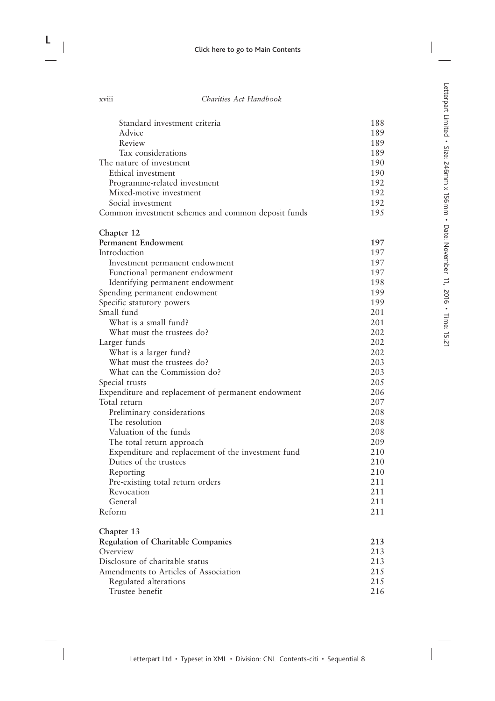| Standard investment criteria                                                    | 188        |
|---------------------------------------------------------------------------------|------------|
| Advice                                                                          | 189        |
| Review                                                                          | 189        |
| Tax considerations                                                              | 189        |
| The nature of investment                                                        | 190        |
| Ethical investment                                                              | 190        |
| Programme-related investment                                                    | 192        |
| Mixed-motive investment                                                         | 192        |
| Social investment                                                               | 192        |
| Common investment schemes and common deposit funds                              | 195        |
| Chapter 12                                                                      |            |
| <b>Permanent Endowment</b>                                                      | 197        |
| Introduction                                                                    | 197        |
| Investment permanent endowment                                                  | 197        |
| Functional permanent endowment                                                  | 197        |
| Identifying permanent endowment                                                 | 198        |
| Spending permanent endowment                                                    | 199        |
| Specific statutory powers                                                       | 199        |
| Small fund                                                                      | 201        |
| What is a small fund?                                                           | 201        |
| What must the trustees do?                                                      | 202        |
| Larger funds                                                                    | 202        |
| What is a larger fund?                                                          | 202        |
| What must the trustees do?                                                      | 203        |
| What can the Commission do?                                                     | 203        |
| Special trusts                                                                  | 205        |
| Expenditure and replacement of permanent endowment                              | 206        |
| Total return                                                                    | 207        |
| Preliminary considerations<br>The resolution                                    | 208<br>208 |
|                                                                                 | 208        |
| Valuation of the funds                                                          | 209        |
| The total return approach<br>Expenditure and replacement of the investment fund | 210        |
| Duties of the trustees                                                          | 210        |
| Reporting                                                                       | 210        |
| Pre-existing total return orders                                                | 211        |
| Revocation                                                                      | 211        |
| General                                                                         | 211        |
| Reform                                                                          | 211        |
| Chapter 13                                                                      |            |
| <b>Regulation of Charitable Companies</b>                                       | 213        |
| Overview                                                                        | 213        |
| Disclosure of charitable status                                                 | 213        |
| Amendments to Articles of Association                                           | 215        |
| Regulated alterations                                                           | 215        |
| Trustee benefit                                                                 | 216        |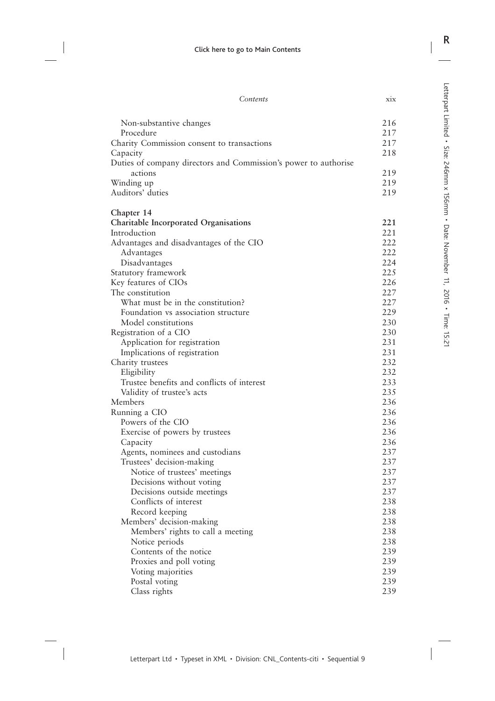| Contents | X1X |
|----------|-----|
|          |     |

| Non-substantive changes                                                     | 216        |
|-----------------------------------------------------------------------------|------------|
| Procedure                                                                   | 217        |
| Charity Commission consent to transactions                                  | 217<br>218 |
| Capacity<br>Duties of company directors and Commission's power to authorise |            |
| actions                                                                     | 219        |
| Winding up                                                                  | 219        |
| Auditors' duties                                                            | 219        |
| Chapter 14                                                                  |            |
| <b>Charitable Incorporated Organisations</b>                                | 221        |
| Introduction                                                                | 221        |
| Advantages and disadvantages of the CIO                                     | 222        |
| Advantages                                                                  | 222        |
| Disadvantages                                                               | 224        |
| Statutory framework                                                         | 225        |
| Key features of CIOs                                                        | 226        |
| The constitution                                                            | 227        |
| What must be in the constitution?                                           | 227<br>229 |
| Foundation vs association structure<br>Model constitutions                  | 230        |
| Registration of a CIO                                                       | 230        |
| Application for registration                                                | 231        |
| Implications of registration                                                | 231        |
| Charity trustees                                                            | 232        |
| Eligibility                                                                 | 232        |
| Trustee benefits and conflicts of interest                                  | 233        |
| Validity of trustee's acts                                                  | 235        |
| Members                                                                     | 236        |
| Running a CIO                                                               | 236        |
| Powers of the CIO                                                           | 236        |
| Exercise of powers by trustees                                              | 236        |
| Capacity                                                                    | 236        |
| Agents, nominees and custodians                                             | 237        |
| Trustees' decision-making                                                   | 237        |
| Notice of trustees' meetings                                                | 237        |
| Decisions without voting                                                    | 237        |
| Decisions outside meetings                                                  | 237        |
| Conflicts of interest                                                       | 238        |
| Record keeping                                                              | 238        |
| Members' decision-making                                                    | 238        |
| Members' rights to call a meeting                                           | 238        |
| Notice periods                                                              | 238        |
| Contents of the notice                                                      | 239        |
| Proxies and poll voting                                                     | 239        |
| Voting majorities                                                           | 239        |
| Postal voting                                                               | 239        |
| Class rights                                                                | 239        |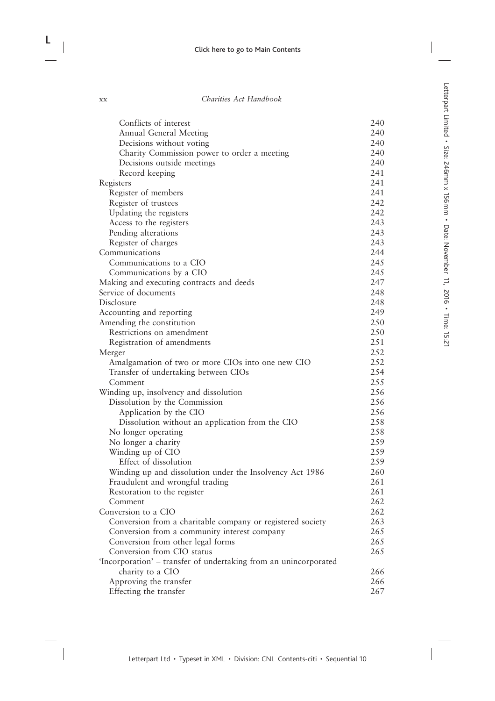| Conflicts of interest                                            | 240 |
|------------------------------------------------------------------|-----|
| Annual General Meeting                                           | 240 |
| Decisions without voting                                         | 240 |
| Charity Commission power to order a meeting                      | 240 |
| Decisions outside meetings                                       | 240 |
| Record keeping                                                   | 241 |
| Registers                                                        | 241 |
| Register of members                                              | 241 |
| Register of trustees                                             | 242 |
| Updating the registers                                           | 242 |
| Access to the registers                                          | 243 |
| Pending alterations                                              | 243 |
| Register of charges                                              | 243 |
| Communications                                                   | 244 |
| Communications to a CIO                                          | 245 |
|                                                                  | 245 |
| Communications by a CIO                                          |     |
| Making and executing contracts and deeds                         | 247 |
| Service of documents                                             | 248 |
| Disclosure                                                       | 248 |
| Accounting and reporting                                         | 249 |
| Amending the constitution                                        | 250 |
| Restrictions on amendment                                        | 250 |
| Registration of amendments                                       | 251 |
| Merger                                                           | 252 |
| Amalgamation of two or more CIOs into one new CIO                | 252 |
| Transfer of undertaking between CIOs                             | 254 |
| Comment                                                          | 255 |
| Winding up, insolvency and dissolution                           | 256 |
| Dissolution by the Commission                                    | 256 |
| Application by the CIO                                           | 256 |
| Dissolution without an application from the CIO                  | 258 |
| No longer operating                                              | 258 |
| No longer a charity                                              | 259 |
| Winding up of CIO                                                | 259 |
| Effect of dissolution                                            | 259 |
| Winding up and dissolution under the Insolvency Act 1986         | 260 |
| Fraudulent and wrongful trading                                  | 261 |
| Restoration to the register                                      | 261 |
| Comment                                                          | 262 |
| Conversion to a CIO                                              | 262 |
| Conversion from a charitable company or registered society       | 263 |
| Conversion from a community interest company                     | 265 |
| Conversion from other legal forms                                | 265 |
| Conversion from CIO status                                       | 265 |
| 'Incorporation' - transfer of undertaking from an unincorporated |     |
| charity to a CIO                                                 | 266 |
| Approving the transfer                                           | 266 |
| Effecting the transfer                                           | 267 |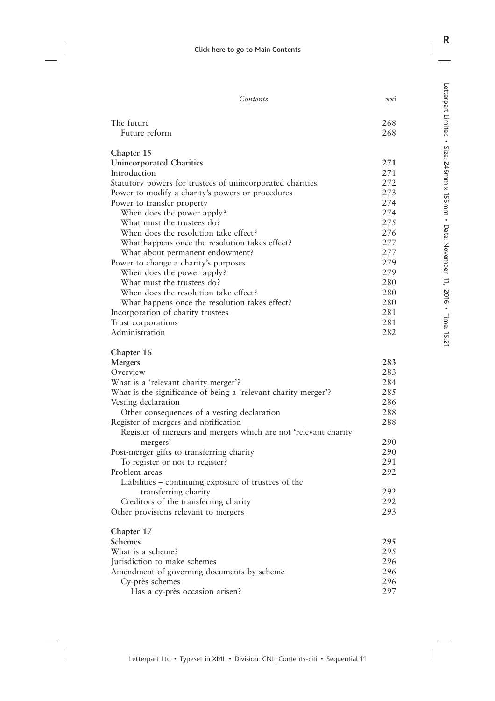| The future<br>268<br>Future reform<br>268<br>Chapter 15<br><b>Unincorporated Charities</b><br>271<br>271<br>272<br>Statutory powers for trustees of unincorporated charities<br>273<br>274<br>274<br>When does the power apply?<br>What must the trustees do?<br>275<br>When does the resolution take effect?<br>276<br>277<br>What happens once the resolution takes effect?<br>277<br>What about permanent endowment?<br>279<br>279<br>When does the power apply?<br>280<br>What must the trustees do?<br>When does the resolution take effect?<br>280<br>280<br>What happens once the resolution takes effect?<br>281<br>Incorporation of charity trustees<br>281<br>Trust corporations<br>Administration<br>282<br>Chapter 16<br>283<br>Mergers<br>283<br>284<br>What is a 'relevant charity merger'?<br>285<br>286<br>288<br>Other consequences of a vesting declaration<br>288<br>Register of mergers and mergers which are not 'relevant charity<br>290<br>mergers'<br>290<br>291<br>To register or not to register?<br>292<br>Liabilities – continuing exposure of trustees of the<br>292<br>transferring charity<br>292<br>Creditors of the transferring charity<br>293<br>Other provisions relevant to mergers<br>Schemes<br>295<br>What is a scheme?<br>295<br>296<br>296<br>Amendment of governing documents by scheme<br>296<br>Cy-près schemes<br>Has a cy-près occasion arisen?<br>297 | Contents                                                       | XX1 |
|-------------------------------------------------------------------------------------------------------------------------------------------------------------------------------------------------------------------------------------------------------------------------------------------------------------------------------------------------------------------------------------------------------------------------------------------------------------------------------------------------------------------------------------------------------------------------------------------------------------------------------------------------------------------------------------------------------------------------------------------------------------------------------------------------------------------------------------------------------------------------------------------------------------------------------------------------------------------------------------------------------------------------------------------------------------------------------------------------------------------------------------------------------------------------------------------------------------------------------------------------------------------------------------------------------------------------------------------------------------------------------------------------------|----------------------------------------------------------------|-----|
|                                                                                                                                                                                                                                                                                                                                                                                                                                                                                                                                                                                                                                                                                                                                                                                                                                                                                                                                                                                                                                                                                                                                                                                                                                                                                                                                                                                                       |                                                                |     |
|                                                                                                                                                                                                                                                                                                                                                                                                                                                                                                                                                                                                                                                                                                                                                                                                                                                                                                                                                                                                                                                                                                                                                                                                                                                                                                                                                                                                       |                                                                |     |
|                                                                                                                                                                                                                                                                                                                                                                                                                                                                                                                                                                                                                                                                                                                                                                                                                                                                                                                                                                                                                                                                                                                                                                                                                                                                                                                                                                                                       |                                                                |     |
|                                                                                                                                                                                                                                                                                                                                                                                                                                                                                                                                                                                                                                                                                                                                                                                                                                                                                                                                                                                                                                                                                                                                                                                                                                                                                                                                                                                                       |                                                                |     |
|                                                                                                                                                                                                                                                                                                                                                                                                                                                                                                                                                                                                                                                                                                                                                                                                                                                                                                                                                                                                                                                                                                                                                                                                                                                                                                                                                                                                       |                                                                |     |
|                                                                                                                                                                                                                                                                                                                                                                                                                                                                                                                                                                                                                                                                                                                                                                                                                                                                                                                                                                                                                                                                                                                                                                                                                                                                                                                                                                                                       | Introduction                                                   |     |
|                                                                                                                                                                                                                                                                                                                                                                                                                                                                                                                                                                                                                                                                                                                                                                                                                                                                                                                                                                                                                                                                                                                                                                                                                                                                                                                                                                                                       |                                                                |     |
|                                                                                                                                                                                                                                                                                                                                                                                                                                                                                                                                                                                                                                                                                                                                                                                                                                                                                                                                                                                                                                                                                                                                                                                                                                                                                                                                                                                                       | Power to modify a charity's powers or procedures               |     |
|                                                                                                                                                                                                                                                                                                                                                                                                                                                                                                                                                                                                                                                                                                                                                                                                                                                                                                                                                                                                                                                                                                                                                                                                                                                                                                                                                                                                       | Power to transfer property                                     |     |
|                                                                                                                                                                                                                                                                                                                                                                                                                                                                                                                                                                                                                                                                                                                                                                                                                                                                                                                                                                                                                                                                                                                                                                                                                                                                                                                                                                                                       |                                                                |     |
|                                                                                                                                                                                                                                                                                                                                                                                                                                                                                                                                                                                                                                                                                                                                                                                                                                                                                                                                                                                                                                                                                                                                                                                                                                                                                                                                                                                                       |                                                                |     |
|                                                                                                                                                                                                                                                                                                                                                                                                                                                                                                                                                                                                                                                                                                                                                                                                                                                                                                                                                                                                                                                                                                                                                                                                                                                                                                                                                                                                       |                                                                |     |
|                                                                                                                                                                                                                                                                                                                                                                                                                                                                                                                                                                                                                                                                                                                                                                                                                                                                                                                                                                                                                                                                                                                                                                                                                                                                                                                                                                                                       |                                                                |     |
|                                                                                                                                                                                                                                                                                                                                                                                                                                                                                                                                                                                                                                                                                                                                                                                                                                                                                                                                                                                                                                                                                                                                                                                                                                                                                                                                                                                                       |                                                                |     |
|                                                                                                                                                                                                                                                                                                                                                                                                                                                                                                                                                                                                                                                                                                                                                                                                                                                                                                                                                                                                                                                                                                                                                                                                                                                                                                                                                                                                       | Power to change a charity's purposes                           |     |
|                                                                                                                                                                                                                                                                                                                                                                                                                                                                                                                                                                                                                                                                                                                                                                                                                                                                                                                                                                                                                                                                                                                                                                                                                                                                                                                                                                                                       |                                                                |     |
|                                                                                                                                                                                                                                                                                                                                                                                                                                                                                                                                                                                                                                                                                                                                                                                                                                                                                                                                                                                                                                                                                                                                                                                                                                                                                                                                                                                                       |                                                                |     |
|                                                                                                                                                                                                                                                                                                                                                                                                                                                                                                                                                                                                                                                                                                                                                                                                                                                                                                                                                                                                                                                                                                                                                                                                                                                                                                                                                                                                       |                                                                |     |
|                                                                                                                                                                                                                                                                                                                                                                                                                                                                                                                                                                                                                                                                                                                                                                                                                                                                                                                                                                                                                                                                                                                                                                                                                                                                                                                                                                                                       |                                                                |     |
|                                                                                                                                                                                                                                                                                                                                                                                                                                                                                                                                                                                                                                                                                                                                                                                                                                                                                                                                                                                                                                                                                                                                                                                                                                                                                                                                                                                                       |                                                                |     |
|                                                                                                                                                                                                                                                                                                                                                                                                                                                                                                                                                                                                                                                                                                                                                                                                                                                                                                                                                                                                                                                                                                                                                                                                                                                                                                                                                                                                       |                                                                |     |
|                                                                                                                                                                                                                                                                                                                                                                                                                                                                                                                                                                                                                                                                                                                                                                                                                                                                                                                                                                                                                                                                                                                                                                                                                                                                                                                                                                                                       |                                                                |     |
|                                                                                                                                                                                                                                                                                                                                                                                                                                                                                                                                                                                                                                                                                                                                                                                                                                                                                                                                                                                                                                                                                                                                                                                                                                                                                                                                                                                                       |                                                                |     |
|                                                                                                                                                                                                                                                                                                                                                                                                                                                                                                                                                                                                                                                                                                                                                                                                                                                                                                                                                                                                                                                                                                                                                                                                                                                                                                                                                                                                       |                                                                |     |
|                                                                                                                                                                                                                                                                                                                                                                                                                                                                                                                                                                                                                                                                                                                                                                                                                                                                                                                                                                                                                                                                                                                                                                                                                                                                                                                                                                                                       | Overview                                                       |     |
|                                                                                                                                                                                                                                                                                                                                                                                                                                                                                                                                                                                                                                                                                                                                                                                                                                                                                                                                                                                                                                                                                                                                                                                                                                                                                                                                                                                                       |                                                                |     |
|                                                                                                                                                                                                                                                                                                                                                                                                                                                                                                                                                                                                                                                                                                                                                                                                                                                                                                                                                                                                                                                                                                                                                                                                                                                                                                                                                                                                       | What is the significance of being a 'relevant charity merger'? |     |
|                                                                                                                                                                                                                                                                                                                                                                                                                                                                                                                                                                                                                                                                                                                                                                                                                                                                                                                                                                                                                                                                                                                                                                                                                                                                                                                                                                                                       | Vesting declaration                                            |     |
|                                                                                                                                                                                                                                                                                                                                                                                                                                                                                                                                                                                                                                                                                                                                                                                                                                                                                                                                                                                                                                                                                                                                                                                                                                                                                                                                                                                                       |                                                                |     |
|                                                                                                                                                                                                                                                                                                                                                                                                                                                                                                                                                                                                                                                                                                                                                                                                                                                                                                                                                                                                                                                                                                                                                                                                                                                                                                                                                                                                       | Register of mergers and notification                           |     |
|                                                                                                                                                                                                                                                                                                                                                                                                                                                                                                                                                                                                                                                                                                                                                                                                                                                                                                                                                                                                                                                                                                                                                                                                                                                                                                                                                                                                       |                                                                |     |
|                                                                                                                                                                                                                                                                                                                                                                                                                                                                                                                                                                                                                                                                                                                                                                                                                                                                                                                                                                                                                                                                                                                                                                                                                                                                                                                                                                                                       |                                                                |     |
|                                                                                                                                                                                                                                                                                                                                                                                                                                                                                                                                                                                                                                                                                                                                                                                                                                                                                                                                                                                                                                                                                                                                                                                                                                                                                                                                                                                                       | Post-merger gifts to transferring charity                      |     |
|                                                                                                                                                                                                                                                                                                                                                                                                                                                                                                                                                                                                                                                                                                                                                                                                                                                                                                                                                                                                                                                                                                                                                                                                                                                                                                                                                                                                       |                                                                |     |
|                                                                                                                                                                                                                                                                                                                                                                                                                                                                                                                                                                                                                                                                                                                                                                                                                                                                                                                                                                                                                                                                                                                                                                                                                                                                                                                                                                                                       | Problem areas                                                  |     |
|                                                                                                                                                                                                                                                                                                                                                                                                                                                                                                                                                                                                                                                                                                                                                                                                                                                                                                                                                                                                                                                                                                                                                                                                                                                                                                                                                                                                       |                                                                |     |
|                                                                                                                                                                                                                                                                                                                                                                                                                                                                                                                                                                                                                                                                                                                                                                                                                                                                                                                                                                                                                                                                                                                                                                                                                                                                                                                                                                                                       |                                                                |     |
|                                                                                                                                                                                                                                                                                                                                                                                                                                                                                                                                                                                                                                                                                                                                                                                                                                                                                                                                                                                                                                                                                                                                                                                                                                                                                                                                                                                                       |                                                                |     |
|                                                                                                                                                                                                                                                                                                                                                                                                                                                                                                                                                                                                                                                                                                                                                                                                                                                                                                                                                                                                                                                                                                                                                                                                                                                                                                                                                                                                       |                                                                |     |
|                                                                                                                                                                                                                                                                                                                                                                                                                                                                                                                                                                                                                                                                                                                                                                                                                                                                                                                                                                                                                                                                                                                                                                                                                                                                                                                                                                                                       | Chapter 17                                                     |     |
|                                                                                                                                                                                                                                                                                                                                                                                                                                                                                                                                                                                                                                                                                                                                                                                                                                                                                                                                                                                                                                                                                                                                                                                                                                                                                                                                                                                                       |                                                                |     |
|                                                                                                                                                                                                                                                                                                                                                                                                                                                                                                                                                                                                                                                                                                                                                                                                                                                                                                                                                                                                                                                                                                                                                                                                                                                                                                                                                                                                       |                                                                |     |
|                                                                                                                                                                                                                                                                                                                                                                                                                                                                                                                                                                                                                                                                                                                                                                                                                                                                                                                                                                                                                                                                                                                                                                                                                                                                                                                                                                                                       | Jurisdiction to make schemes                                   |     |
|                                                                                                                                                                                                                                                                                                                                                                                                                                                                                                                                                                                                                                                                                                                                                                                                                                                                                                                                                                                                                                                                                                                                                                                                                                                                                                                                                                                                       |                                                                |     |
|                                                                                                                                                                                                                                                                                                                                                                                                                                                                                                                                                                                                                                                                                                                                                                                                                                                                                                                                                                                                                                                                                                                                                                                                                                                                                                                                                                                                       |                                                                |     |
|                                                                                                                                                                                                                                                                                                                                                                                                                                                                                                                                                                                                                                                                                                                                                                                                                                                                                                                                                                                                                                                                                                                                                                                                                                                                                                                                                                                                       |                                                                |     |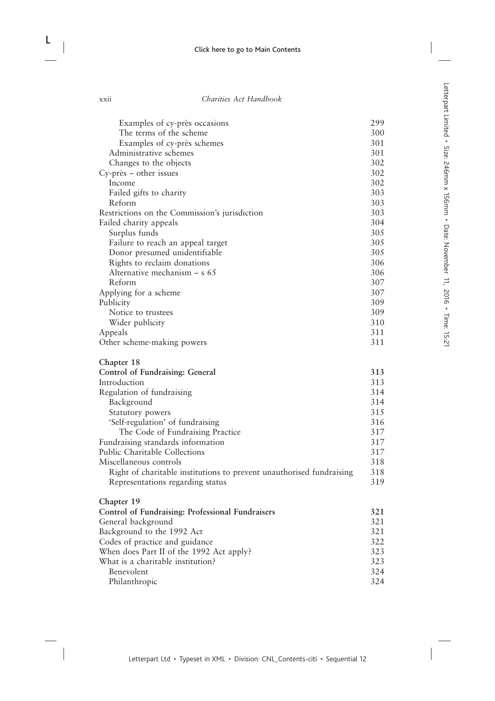| Examples of cy-près occasions                                        | 299 |
|----------------------------------------------------------------------|-----|
| The terms of the scheme                                              | 300 |
| Examples of cy-près schemes                                          | 301 |
| Administrative schemes                                               | 301 |
| Changes to the objects                                               | 302 |
| Cy-près – other issues                                               | 302 |
| Income                                                               | 302 |
| Failed gifts to charity                                              | 303 |
| Reform                                                               | 303 |
| Restrictions on the Commission's jurisdiction                        | 303 |
| Failed charity appeals                                               | 304 |
| Surplus funds                                                        | 305 |
| Failure to reach an appeal target                                    | 305 |
| Donor presumed unidentifiable                                        | 305 |
| Rights to reclaim donations                                          | 306 |
| Alternative mechanism $- s 65$                                       | 306 |
| Reform                                                               | 307 |
| Applying for a scheme                                                | 307 |
| Publicity                                                            | 309 |
| Notice to trustees                                                   | 309 |
| Wider publicity                                                      | 310 |
| Appeals                                                              | 311 |
| Other scheme-making powers                                           | 311 |
| Chapter 18                                                           |     |
| Control of Fundraising: General                                      | 313 |
| Introduction                                                         | 313 |
| Regulation of fundraising                                            | 314 |
| Background                                                           | 314 |
| Statutory powers                                                     | 315 |
| 'Self-regulation' of fundraising                                     | 316 |
| The Code of Fundraising Practice                                     | 317 |
| Fundraising standards information                                    | 317 |
| Public Charitable Collections                                        | 317 |
| Miscellaneous controls                                               | 318 |
| Right of charitable institutions to prevent unauthorised fundraising | 318 |
| Representations regarding status                                     | 319 |
| Chapter 19                                                           |     |
| Control of Fundraising: Professional Fundraisers                     | 321 |
| General background                                                   | 321 |
| Background to the 1992 Act                                           | 321 |
| Codes of practice and guidance                                       | 322 |
| When does Part II of the 1992 Act apply?                             | 323 |
| What is a charitable institution?                                    | 323 |

What is a charitable institution?<br>Benevolent 324 Benevolent 324<br>Philanthropic 324

Philanthropic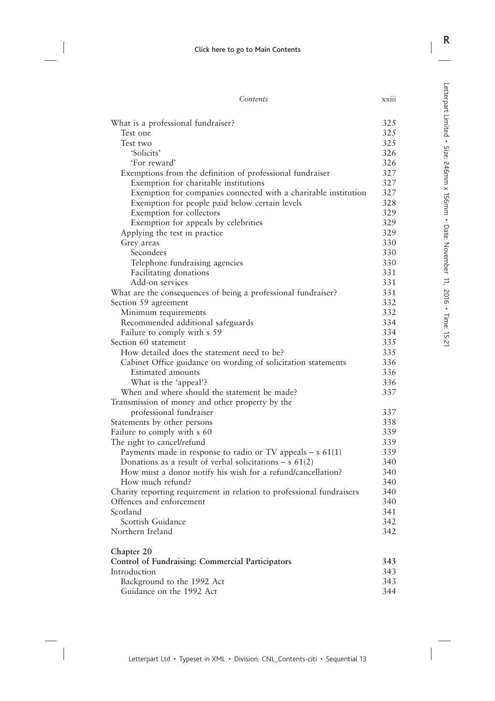| .<br><b>XX111</b> |
|-------------------|
|                   |
|                   |

| What is a professional fundraiser?                                         | 325        |
|----------------------------------------------------------------------------|------------|
| Test one                                                                   | 325        |
| Test two                                                                   | 325        |
| 'Solicits'                                                                 | 326        |
| 'For reward'                                                               | 326        |
| Exemptions from the definition of professional fundraiser                  | 327        |
| Exemption for charitable institutions                                      | 327        |
| Exemption for companies connected with a charitable institution            | 327        |
| Exemption for people paid below certain levels                             | 328        |
| Exemption for collectors                                                   | 329        |
| Exemption for appeals by celebrities                                       | 329        |
| Applying the test in practice                                              | 329        |
| Grey areas                                                                 | 330        |
| Secondees                                                                  | 330        |
| Telephone fundraising agencies                                             | 330        |
| Facilitating donations                                                     | 331        |
| Add-on services                                                            | 331        |
| What are the consequences of being a professional fundraiser?              | 331        |
| Section 59 agreement                                                       | 332        |
| Minimum requirements                                                       | 332        |
| Recommended additional safeguards                                          | 334        |
| Failure to comply with s 59                                                | 334        |
| Section 60 statement                                                       | 335        |
| How detailed does the statement need to be?                                | 335        |
| Cabinet Office guidance on wording of solicitation statements              | 336<br>336 |
| Estimated amounts                                                          | 336        |
| What is the 'appeal'?                                                      | 337        |
| When and where should the statement be made?                               |            |
| Transmission of money and other property by the<br>professional fundraiser | 337        |
| Statements by other persons                                                | 338        |
| Failure to comply with s 60                                                | 339        |
| The right to cancel/refund                                                 | 339        |
| Payments made in response to radio or TV appeals $- s 61(1)$               | 339        |
| Donations as a result of verbal solicitations – $s$ 61(2)                  | 340        |
| How must a donor notify his wish for a refund/cancellation?                | 340        |
| How much refund?                                                           | 340        |
| Charity reporting requirement in relation to professional fundraisers      | 340        |
| Offences and enforcement                                                   | 340        |
| Scotland                                                                   | 341        |
| Scottish Guidance                                                          | 342        |
| Northern Ireland                                                           | 342        |
| Chapter 20                                                                 |            |
| <b>Control of Fundraising: Commercial Participators</b>                    | 343        |
| Introduction                                                               | 343        |
| Background to the 1992 Act                                                 | 343        |
| Guidance on the 1992 Act                                                   | 344        |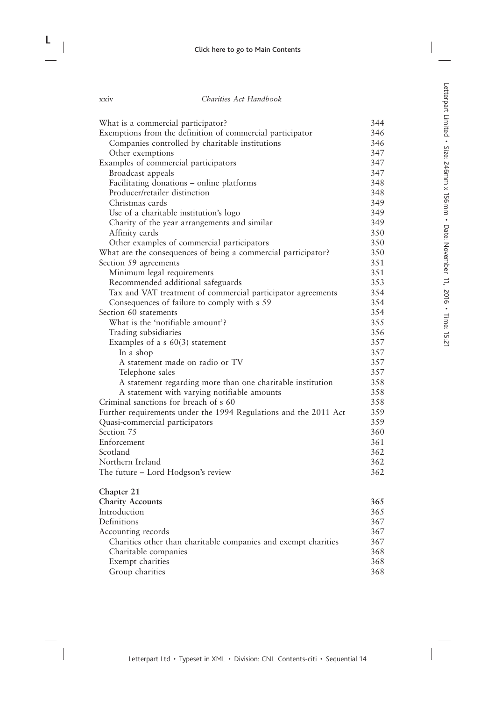| What is a commercial participator?                               | 344 |
|------------------------------------------------------------------|-----|
| Exemptions from the definition of commercial participator        | 346 |
| Companies controlled by charitable institutions                  | 346 |
| Other exemptions                                                 | 347 |
| Examples of commercial participators                             | 347 |
| Broadcast appeals                                                | 347 |
| Facilitating donations - online platforms                        | 348 |
| Producer/retailer distinction                                    | 348 |
| Christmas cards                                                  | 349 |
| Use of a charitable institution's logo                           | 349 |
| Charity of the year arrangements and similar                     | 349 |
| Affinity cards                                                   | 350 |
| Other examples of commercial participators                       | 350 |
| What are the consequences of being a commercial participator?    | 350 |
| Section 59 agreements                                            | 351 |
| Minimum legal requirements                                       | 351 |
| Recommended additional safeguards                                | 353 |
| Tax and VAT treatment of commercial participator agreements      | 354 |
| Consequences of failure to comply with s 59                      | 354 |
| Section 60 statements                                            | 354 |
| What is the 'notifiable amount'?                                 | 355 |
| Trading subsidiaries                                             | 356 |
| Examples of a $s$ 60(3) statement                                | 357 |
| In a shop                                                        | 357 |
| A statement made on radio or TV                                  | 357 |
| Telephone sales                                                  | 357 |
| A statement regarding more than one charitable institution       | 358 |
| A statement with varying notifiable amounts                      | 358 |
| Criminal sanctions for breach of s 60                            | 358 |
| Further requirements under the 1994 Regulations and the 2011 Act | 359 |
| Quasi-commercial participators                                   | 359 |
| Section 75                                                       | 360 |
| Enforcement                                                      | 361 |
| Scotland                                                         | 362 |
| Northern Ireland                                                 | 362 |
| The future – Lord Hodgson's review                               | 362 |
| Chapter 21                                                       |     |
| <b>Charity Accounts</b>                                          | 365 |
| Introduction                                                     | 365 |
| Definitions                                                      | 367 |
| Accounting records                                               | 367 |
| Charities other than charitable companies and exempt charities   | 367 |
| Charitable companies                                             | 368 |
| Exempt charities                                                 | 368 |
| Group charities                                                  | 368 |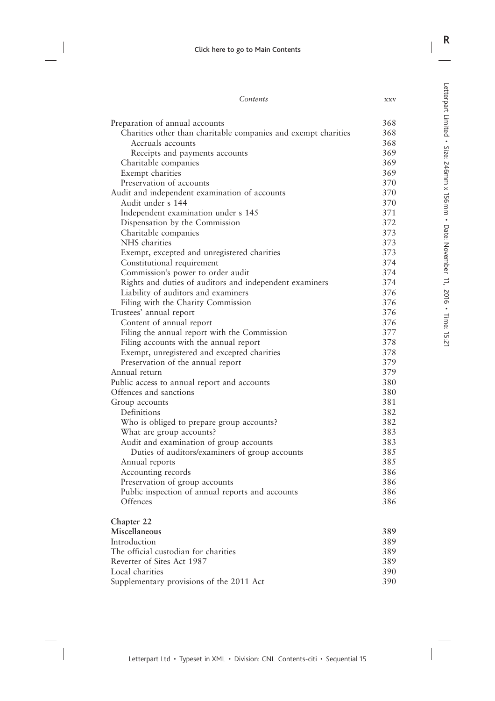| Contents | XXV |
|----------|-----|
|          |     |

| Preparation of annual accounts                                                     | 368 |
|------------------------------------------------------------------------------------|-----|
| Charities other than charitable companies and exempt charities                     | 368 |
| Accruals accounts                                                                  | 368 |
| Receipts and payments accounts                                                     | 369 |
| Charitable companies                                                               | 369 |
| Exempt charities                                                                   | 369 |
| Preservation of accounts                                                           | 370 |
| Audit and independent examination of accounts                                      | 370 |
| Audit under s 144                                                                  | 370 |
| Independent examination under s 145                                                | 371 |
| Dispensation by the Commission                                                     | 372 |
| Charitable companies                                                               | 373 |
| NHS charities                                                                      | 373 |
| Exempt, excepted and unregistered charities                                        | 373 |
| Constitutional requirement                                                         | 374 |
| Commission's power to order audit                                                  | 374 |
| Rights and duties of auditors and independent examiners                            | 374 |
| Liability of auditors and examiners                                                | 376 |
| Filing with the Charity Commission                                                 | 376 |
| Trustees' annual report                                                            | 376 |
| Content of annual report                                                           | 376 |
| Filing the annual report with the Commission                                       | 377 |
| Filing accounts with the annual report                                             | 378 |
| Exempt, unregistered and excepted charities                                        | 378 |
| Preservation of the annual report                                                  | 379 |
| Annual return                                                                      | 379 |
| Public access to annual report and accounts                                        | 380 |
| Offences and sanctions                                                             | 380 |
| Group accounts                                                                     | 381 |
| Definitions                                                                        | 382 |
| Who is obliged to prepare group accounts?                                          | 382 |
|                                                                                    | 383 |
| What are group accounts?<br>Audit and examination of group accounts                | 383 |
| Duties of auditors/examiners of group accounts                                     | 385 |
| Annual reports                                                                     | 385 |
|                                                                                    | 386 |
| Accounting records                                                                 | 386 |
| Preservation of group accounts<br>Public inspection of annual reports and accounts | 386 |
|                                                                                    |     |
| Offences                                                                           | 386 |
| Chapter 22                                                                         |     |
| Miscellaneous                                                                      | 389 |
| Introduction                                                                       | 389 |
| The official custodian for charities                                               | 389 |
| Reverter of Sites Act 1987                                                         | 389 |
| Local charities                                                                    | 390 |
| Supplementary provisions of the 2011 Act                                           | 390 |
|                                                                                    |     |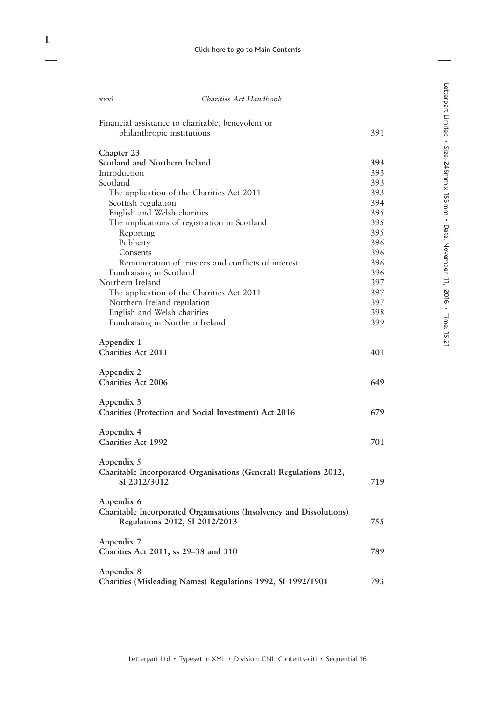| Financial assistance to charitable, benevolent or                   |     |
|---------------------------------------------------------------------|-----|
| philanthropic institutions                                          | 391 |
| Chapter 23                                                          |     |
| Scotland and Northern Ireland                                       | 393 |
| Introduction                                                        | 393 |
| Scotland                                                            | 393 |
| The application of the Charities Act 2011                           | 393 |
| Scottish regulation                                                 | 394 |
| English and Welsh charities                                         | 395 |
| The implications of registration in Scotland                        | 395 |
| Reporting                                                           | 395 |
| Publicity                                                           | 396 |
| Consents                                                            | 396 |
| Remuneration of trustees and conflicts of interest                  | 396 |
| Fundraising in Scotland                                             | 396 |
| Northern Ireland                                                    | 397 |
| The application of the Charities Act 2011                           | 397 |
| Northern Ireland regulation                                         | 397 |
| English and Welsh charities                                         | 398 |
| Fundraising in Northern Ireland                                     | 399 |
| Appendix 1                                                          |     |
| <b>Charities Act 2011</b>                                           | 401 |
| Appendix 2                                                          |     |
| <b>Charities Act 2006</b>                                           | 649 |
|                                                                     |     |
| Appendix 3                                                          |     |
| Charities (Protection and Social Investment) Act 2016               | 679 |
| Appendix 4                                                          |     |
| Charities Act 1992                                                  | 701 |
|                                                                     |     |
| Appendix 5                                                          |     |
| Charitable Incorporated Organisations (General) Regulations 2012,   |     |
| SI 2012/3012                                                        | 719 |
| Appendix 6                                                          |     |
| Charitable Incorporated Organisations (Insolvency and Dissolutions) |     |
| Regulations 2012, SI 2012/2013                                      | 755 |
|                                                                     |     |
| Appendix 7                                                          |     |
| Charities Act 2011, ss 29–38 and 310                                | 789 |
| Appendix 8                                                          |     |
| Charities (Misleading Names) Regulations 1992, SI 1992/1901         | 793 |